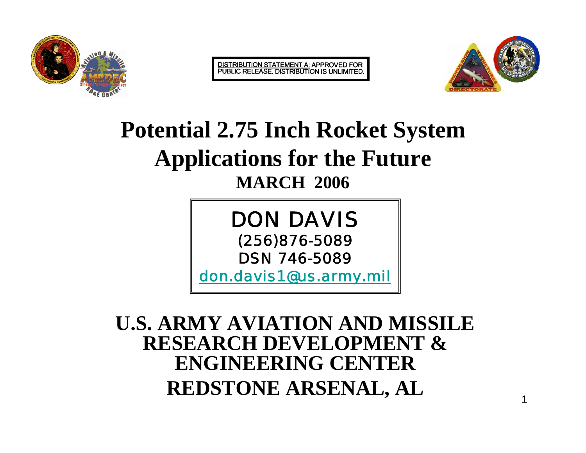

DISTRIBUTION STATEMENT A: APPROVED FOR<br>PUBLIC RELEASE. DISTRIBUTION IS UNLIMITED.



1

#### **Potential 2.75 Inch Rocket System Applications for the Future MARCH 2006**

DON DAVIS(256)876-5089 DSN 746-5089

don.davis1@us.army.mil

#### **U.S. ARMY AVIATION AND MISSILE RESEARCH DEVELOPMENT & ENGINEERING CENTERREDSTONE ARSENAL, AL**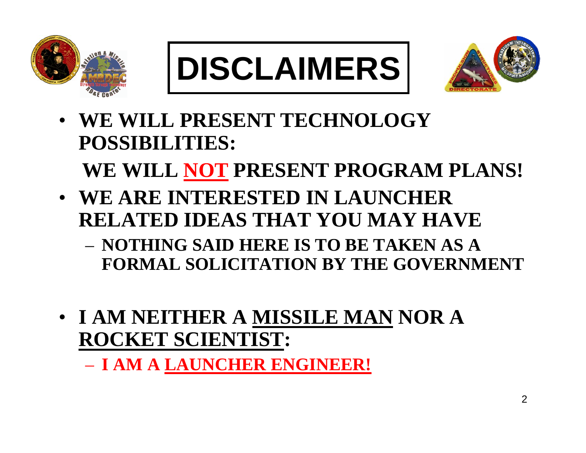





- **WE WILL PRESENT TECHNOLOGY POSSIBILITIES: WE WILL NOT PRESENT PROGRAM PLANS!**
- **WE ARE INTERESTED IN LAUNCHER RELATED IDEAS THAT YOU MAY HAVE**
	- **NOTHING SAID HERE IS TO BE TAKEN AS A FORMAL SOLICITATION BY THE GOVERNMENT**
- **I AM NEITHER A MISSILE MAN NOR A ROCKET SCIENTIST:**

– **I AM A LAUNCHER ENGINEER!**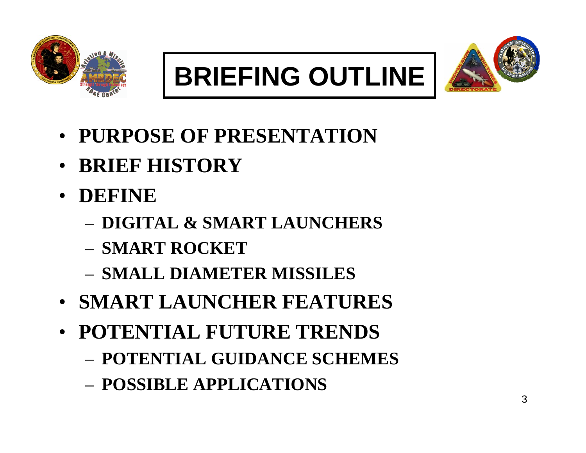





- **PURPOSE OF PRESENTATION**
- **BRIEF HISTORY**
- **DEFINE** 
	- **DIGITAL & SMART LAUNCHERS**
	- **SMART ROCKET**
	- **SMALL DIAMETER MISSILES**
- **SMART LAUNCHER FEATURES**
- **POTENTIAL FUTURE TRENDS**
	- **POTENTIAL GUIDANCE SCHEMES**
	- **POSSIBLE APPLICATIONS**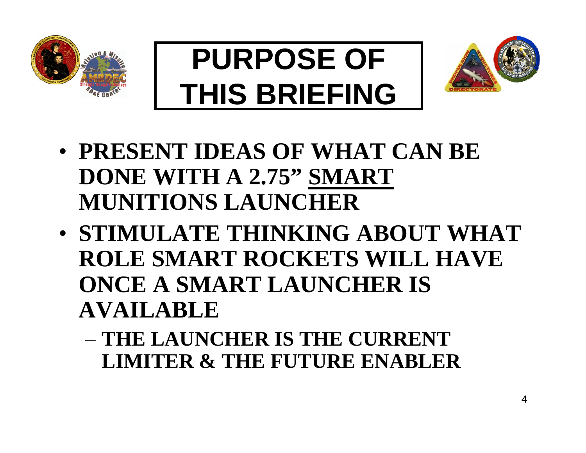





- **PRESENT IDEAS OF WHAT CAN BE DONE WITH A 2.75" SMART MUNITIONS LAUNCHER**
- **STIMULATE THINKING ABOUT WHAT ROLE SMART ROCKETS WILL HAVE ONCE A SMART LAUNCHER IS AVAILABLE**
	- **THE LAUNCHER IS THE CURRENT LIMITER & THE FUTURE ENABLER**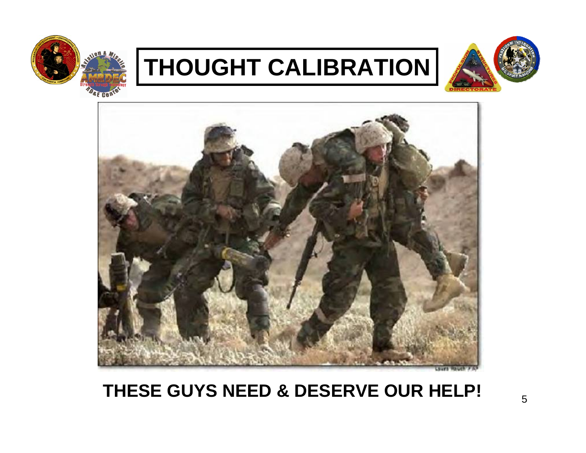

### **THOUGHT CALIBRATION**





#### **THESE GUYS NEED & DESERVE OUR HELP!**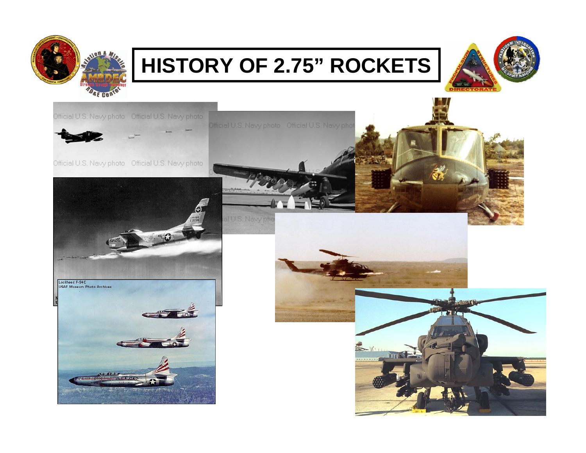

#### **HISTORY OF 2.75" ROCKETS**



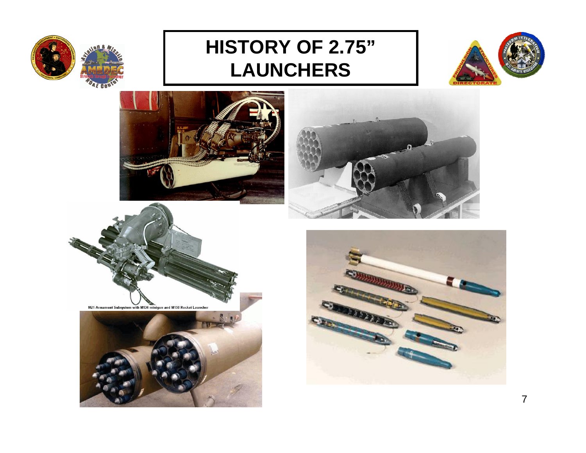

#### **HISTORY OF 2.75" LAUNCHERS**













![](_page_6_Picture_8.jpeg)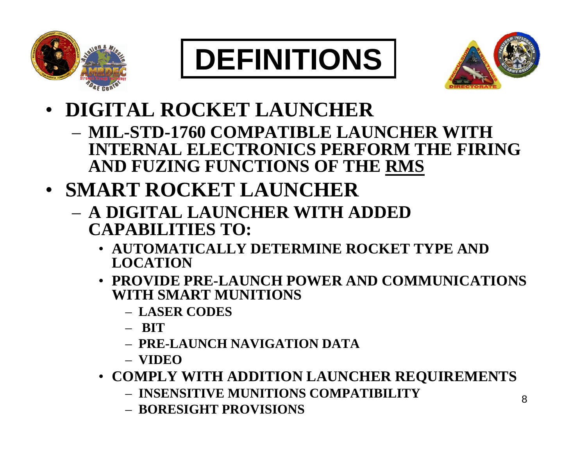![](_page_7_Picture_0.jpeg)

![](_page_7_Picture_1.jpeg)

![](_page_7_Picture_2.jpeg)

- **DIGITAL ROCKET LAUNCHER**
	- **MIL-STD-1760 COMPATIBLE LAUNCHER WITH INTERNAL ELECTRONICS PERFORM THE FIRING AND FUZING FUNCTIONS OF THE RMS**
- **SMART ROCKET LAUNCHER**
	- **A DIGITAL LAUNCHER WITH ADDED CAPABILITIES TO:**
		- **AUTOMATICALLY DETERMINE ROCKET TYPE AND LOCATION**
		- **PROVIDE PRE-LAUNCH POWER AND COMMUNICATIONS WITH SMART MUNITIONS**
			- **LASER CODES**
			- **BIT**
			- **PRE-LAUNCH NAVIGATION DATA**
			- **VIDEO**
		- **COMPLY WITH ADDITION LAUNCHER REQUIREMENTS**
			- **INSENSITIVE MUNITIONS COMPATIBILITY**
			- **BORESIGHT PROVISIONS**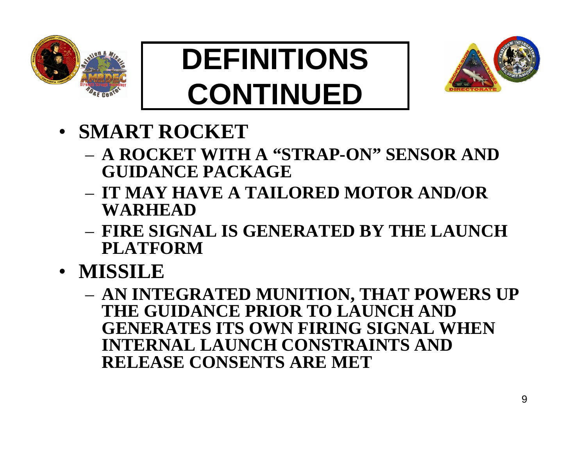![](_page_8_Picture_0.jpeg)

# **DEFINITIONS CONTINUED**

![](_page_8_Picture_2.jpeg)

- **SMART ROCKET**
	- **A ROCKET WITH A "STRAP-ON" SENSOR AND GUIDANCE PACKAGE**
	- **IT MAY HAVE A TAILORED MOTOR AND/OR WARHEAD**
	- **FIRE SIGNAL IS GENERATED BY THE LAUNCH PLATFORM**
- **MISSILE**
	- **AN INTEGRATED MUNITION, THAT POWERS UP THE GUIDANCE PRIOR TO LAUNCH AND GENERATES ITS OWN FIRING SIGNAL WHEN INTERNAL LAUNCH CONSTRAINTS AND RELEASE CONSENTS ARE MET**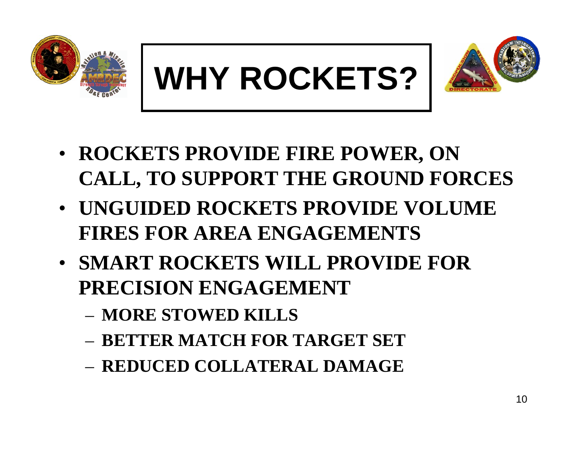![](_page_9_Picture_0.jpeg)

![](_page_9_Picture_1.jpeg)

![](_page_9_Picture_2.jpeg)

- **ROCKETS PROVIDE FIRE POWER, ON CALL, TO SUPPORT THE GROUND FORCES**
- **UNGUIDED ROCKETS PROVIDE VOLUME FIRES FOR AREA ENGAGEMENTS**
- **SMART ROCKETS WILL PROVIDE FOR PRECISION ENGAGEMENT**
	- **MORE STOWED KILLS**
	- **BETTER MATCH FOR TARGET SET**
	- **REDUCED COLLATERAL DAMAGE**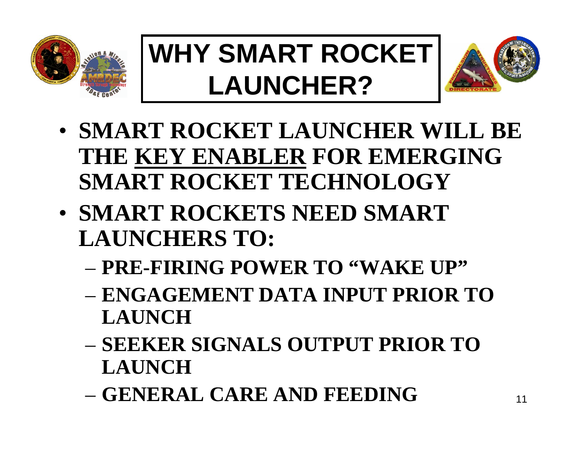![](_page_10_Picture_0.jpeg)

## **WHY SMART ROCKET LAUNCHER?**

![](_page_10_Picture_2.jpeg)

- **SMART ROCKET LAUNCHER WILL BE THE KEY ENABLER FOR EMERGING SMART ROCKET TECHNOLOGY**
- **SMART ROCKETS NEED SMART LAUNCHERS TO:**
	- **PRE-FIRING POWER TO "WAKE UP"**
	- **ENGAGEMENT DATA INPUT PRIOR TO LAUNCH**
	- **SEEKER SIGNALS OUTPUT PRIOR TO LAUNCH**
	- **GENERAL CARE AND FEEDING**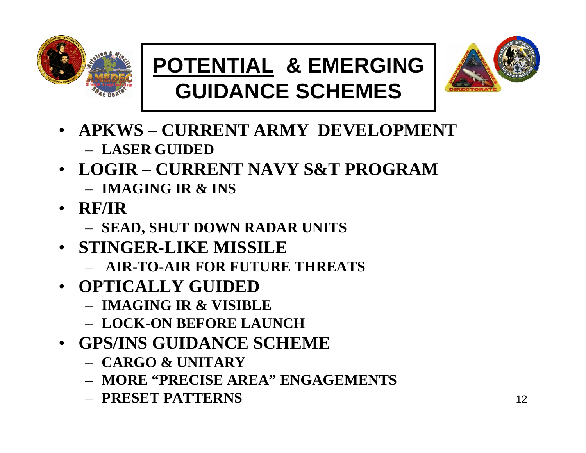![](_page_11_Picture_0.jpeg)

#### **POTENTIAL & EMERGING GUIDANCE SCHEMES**

![](_page_11_Picture_2.jpeg)

- **APKWS – CURRENT ARMY DEVELOPMENT**– **LASER GUIDED**
- **LOGIR – CURRENT NAVY S&T PROGRAM**– **IMAGING IR & INS**
- **RF/IR**
	- **SEAD, SHUT DOWN RADAR UNITS**
- **STINGER-LIKE MISSILE**
	- **AIR-TO-AIR FOR FUTURE THREATS**
- **OPTICALLY GUIDED**
	- **IMAGING IR & VISIBLE**
	- **LOCK-ON BEFORE LAUNCH**
- **GPS/INS GUIDANCE SCHEME** 
	- **CARGO & UNITARY**
	- **MORE "PRECISE AREA" ENGAGEMENTS**
	- **PRESET PATTERNS**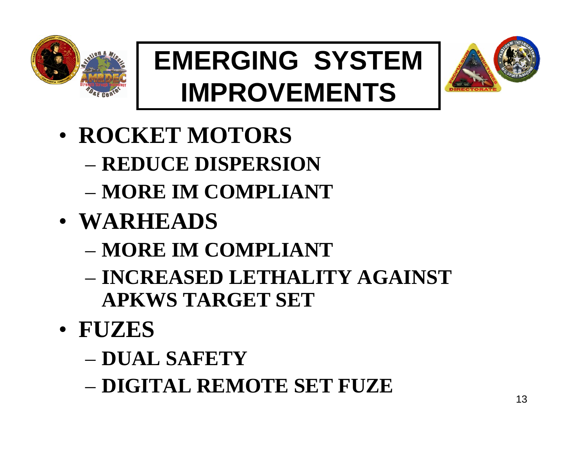![](_page_12_Picture_0.jpeg)

## **EMERGING SYSTEM IMPROVEMENTS**

![](_page_12_Picture_2.jpeg)

- **ROCKET MOTORS**
	- **REDUCE DISPERSION**
	- **MORE IM COMPLIANT**
- **WARHEADS**
	- **MORE IM COMPLIANT**
	- **INCREASED LETHALITY AGAINST APKWS TARGET SET**
- **FUZES**
	- **DUAL SAFETY**
	- **DIGITAL REMOTE SET FUZE**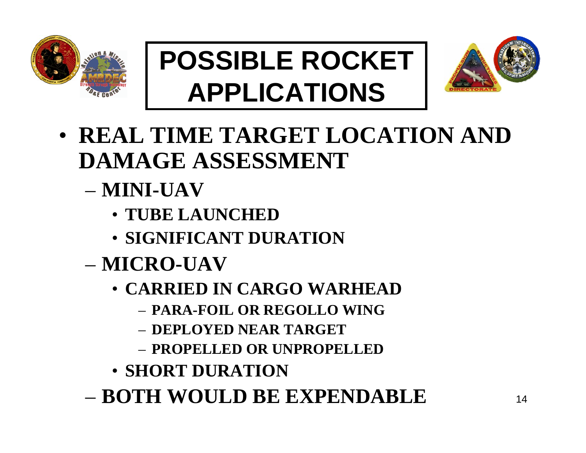![](_page_13_Picture_0.jpeg)

## **POSSIBLE ROCKET APPLICATIONS**

![](_page_13_Picture_2.jpeg)

- **REAL TIME TARGET LOCATION AND DAMAGE ASSESSMENT** 
	- **MINI-UAV**
		- **TUBE LAUNCHED**
		- **SIGNIFICANT DURATION**
	- **MICRO-UAV**
		- **CARRIED IN CARGO WARHEAD**
			- **PARA-FOIL OR REGOLLO WING**
			- **DEPLOYED NEAR TARGET**
			- **PROPELLED OR UNPROPELLED**
		- **SHORT DURATION**
	- **BOTH WOULD BE EXPENDABLE**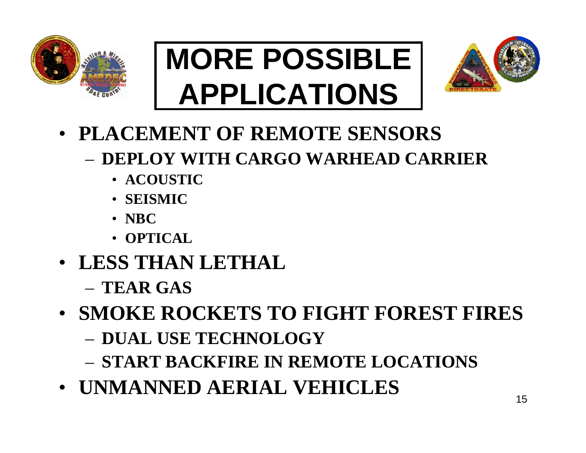![](_page_14_Picture_0.jpeg)

## **MORE POSSIBLE APPLICATIONS**

![](_page_14_Picture_2.jpeg)

- **PLACEMENT OF REMOTE SENSORS**
	- **DEPLOY WITH CARGO WARHEAD CARRIER**
		- **ACOUSTIC**
		- **SEISMIC**
		- **NBC**
		- **OPTICAL**
- **LESS THAN LETHAL** 
	- **TEAR GAS**
- **SMOKE ROCKETS TO FIGHT FOREST FIRES**
	- **DUAL USE TECHNOLOGY**
	- **START BACKFIRE IN REMOTE LOCATIONS**
- **UNMANNED AERIAL VEHICLES**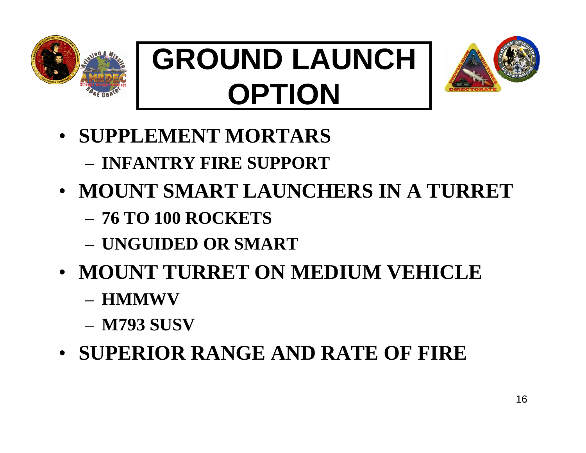![](_page_15_Picture_0.jpeg)

# **GROUND LAUNCH OPTION**

![](_page_15_Picture_2.jpeg)

- **SUPPLEMENT MORTARS** 
	- **INFANTRY FIRE SUPPORT**
- **MOUNT SMART LAUNCHERS IN A TURRET**
	- **76 TO 100 ROCKETS**
	- **UNGUIDED OR SMART**
- **MOUNT TURRET ON MEDIUM VEHICLE** 
	- **HMMWV**
	- **M793 SUSV**
- **SUPERIOR RANGE AND RATE OF FIRE**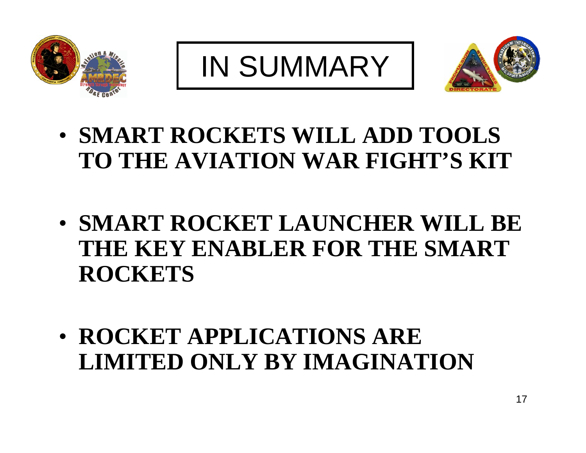![](_page_16_Picture_0.jpeg)

IN SUMMARY

![](_page_16_Picture_2.jpeg)

- **SMART ROCKETS WILL ADD TOOLS TO THE AVIATION WAR FIGHT'S KIT**
- **SMART ROCKET LAUNCHER WILL BE THE KEY ENABLER FOR THE SMART ROCKETS**
- **ROCKET APPLICATIONS ARE LIMITED ONLY BY IMAGINATION**